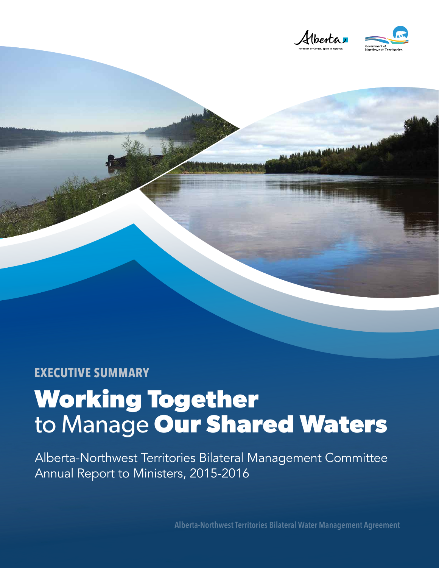

## **EXECUTIVE SUMMARY**

## **Working Together**  to Manage **Our Shared Waters**

Alberta-Northwest Territories Bilateral Management Committee Annual Report to Ministers, 2015-2016

**Alberta-Northwest Territories Bilateral Water Management Agreement**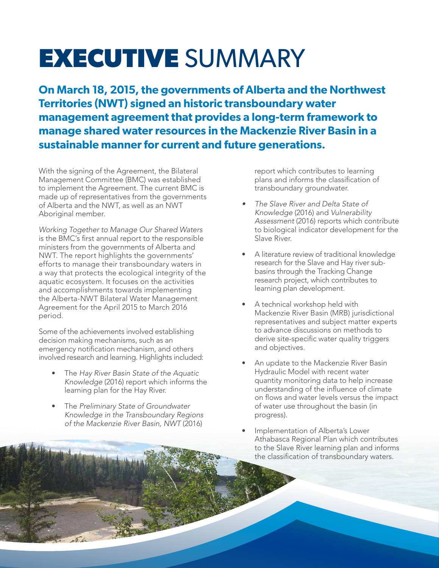## **EXECUTIVE** SUMMARY

**On March 18, 2015, the governments of Alberta and the Northwest Territories (NWT) signed an historic transboundary water management agreement that provides a long-term framework to manage shared water resources in the Mackenzie River Basin in a sustainable manner for current and future generations.**

With the signing of the Agreement, the Bilateral Management Committee (BMC) was established to implement the Agreement. The current BMC is made up of representatives from the governments of Alberta and the NWT, as well as an NWT Aboriginal member.

*Working Together to Manage Our Shared Waters*  is the BMC's first annual report to the responsible ministers from the governments of Alberta and NWT. The report highlights the governments' efforts to manage their transboundary waters in a way that protects the ecological integrity of the aquatic ecosystem. It focuses on the activities and accomplishments towards implementing the Alberta-NWT Bilateral Water Management Agreement for the April 2015 to March 2016 period.

Some of the achievements involved establishing decision making mechanisms, such as an emergency notification mechanism, and others involved research and learning. Highlights included:

- The *Hay River Basin State of the Aquatic Knowledge* (2016) report which informs the learning plan for the Hay River.
- The *Preliminary State of Groundwater Knowledge in the Transboundary Regions of the Mackenzie River Basin, NWT* (2016)

report which contributes to learning plans and informs the classification of transboundary groundwater.

- *• The Slave River and Delta State of Knowledge* (2016) and *Vulnerability Assessment* (2016) reports which contribute to biological indicator development for the Slave River.
- A literature review of traditional knowledge research for the Slave and Hay river subbasins through the Tracking Change research project, which contributes to learning plan development.
- A technical workshop held with Mackenzie River Basin (MRB) jurisdictional representatives and subject matter experts to advance discussions on methods to derive site-specific water quality triggers and objectives.
- An update to the Mackenzie River Basin Hydraulic Model with recent water quantity monitoring data to help increase understanding of the influence of climate on flows and water levels versus the impact of water use throughout the basin (in progress).
- Implementation of Alberta's Lower Athabasca Regional Plan which contributes to the Slave River learning plan and informs the classification of transboundary waters.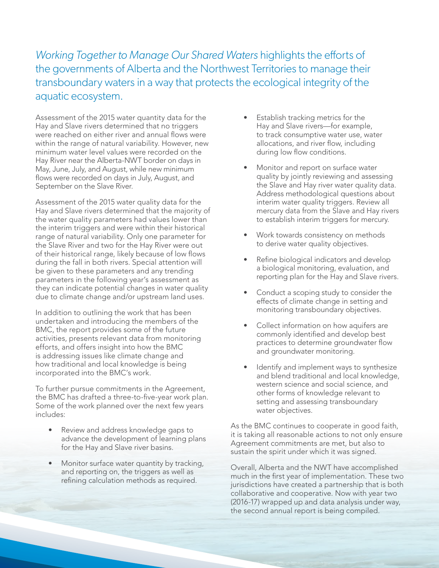*Working Together to Manage Our Shared Waters* highlights the efforts of the governments of Alberta and the Northwest Territories to manage their transboundary waters in a way that protects the ecological integrity of the aquatic ecosystem.

Assessment of the 2015 water quantity data for the Hay and Slave rivers determined that no triggers were reached on either river and annual flows were within the range of natural variability. However, new minimum water level values were recorded on the Hay River near the Alberta-NWT border on days in May, June, July, and August, while new minimum flows were recorded on days in July, August, and September on the Slave River.

Assessment of the 2015 water quality data for the Hay and Slave rivers determined that the majority of the water quality parameters had values lower than the interim triggers and were within their historical range of natural variability. Only one parameter for the Slave River and two for the Hay River were out of their historical range, likely because of low flows during the fall in both rivers. Special attention will be given to these parameters and any trending parameters in the following year's assessment as they can indicate potential changes in water quality due to climate change and/or upstream land uses.

In addition to outlining the work that has been undertaken and introducing the members of the BMC, the report provides some of the future activities, presents relevant data from monitoring efforts, and offers insight into how the BMC is addressing issues like climate change and how traditional and local knowledge is being incorporated into the BMC's work.

To further pursue commitments in the Agreement, the BMC has drafted a three-to-five-year work plan. Some of the work planned over the next few years includes:

- Review and address knowledge gaps to advance the development of learning plans for the Hay and Slave river basins.
- Monitor surface water quantity by tracking, and reporting on, the triggers as well as refining calculation methods as required.
- Establish tracking metrics for the Hay and Slave rivers—for example, to track consumptive water use, water allocations, and river flow, including during low flow conditions.
- Monitor and report on surface water quality by jointly reviewing and assessing the Slave and Hay river water quality data. Address methodological questions about interim water quality triggers. Review all mercury data from the Slave and Hay rivers to establish interim triggers for mercury.
- Work towards consistency on methods to derive water quality objectives.
- Refine biological indicators and develop a biological monitoring, evaluation, and reporting plan for the Hay and Slave rivers.
- Conduct a scoping study to consider the effects of climate change in setting and monitoring transboundary objectives.
- Collect information on how aquifers are commonly identified and develop best practices to determine groundwater flow and groundwater monitoring.
- Identify and implement ways to synthesize and blend traditional and local knowledge, western science and social science, and other forms of knowledge relevant to setting and assessing transboundary water objectives.

As the BMC continues to cooperate in good faith, it is taking all reasonable actions to not only ensure Agreement commitments are met, but also to sustain the spirit under which it was signed.

Overall, Alberta and the NWT have accomplished much in the first year of implementation. These two jurisdictions have created a partnership that is both collaborative and cooperative. Now with year two (2016-17) wrapped up and data analysis under way, the second annual report is being compiled.